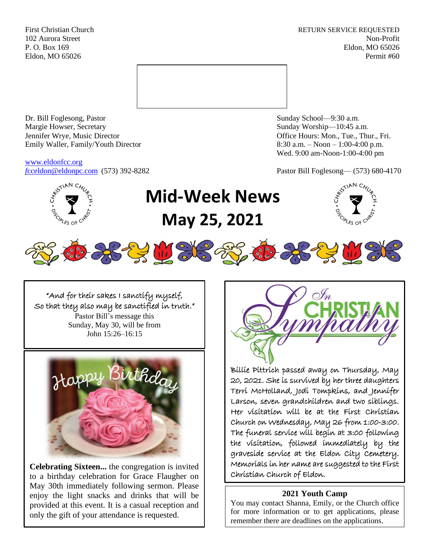First Christian Church **RETURN SERVICE REQUESTED** 102 Aurora Street Non-Profit P. O. Box 169 Eldon, MO 65026 Eldon, MO 65026 Permit #60



Dr. Bill Foglesong, Pastor Sunday School—9:30 a.m. Margie Howser, Secretary Sunday Worship—10:45 a.m. Jennifer Wrye, Music Director Office Hours: Mon., Tue., Thur., Fri. Emily Waller, Family/Youth Director 8:30 a.m. – Noon – 1:00-4:00 p.m.

[www.eldonfcc.org](http://www.eldonfcc.org/)

Wed. 9:00 am-Noon-1:00-4:00 pm

*f*[cceldon@eldonpc.com](mailto:fcceldon@eldonpc.com) (573) 392-8282 Pastor Bill Foglesong— (573) 680-4170



# **Mid-Week News May 25, 2021**





**SEE WEKE** 



**Celebrating Sixteen...** the congregation is invited to a birthday celebration for Grace Flaugher on May 30th immediately following sermon. Please enjoy the light snacks and drinks that will be provided at this event. It is a casual reception and only the gift of your attendance is requested.



Billie Pittrich passed away on Thursday, May 20, 2021. She is survived by her three daughters Terri McHolland, Jodi Tompkins, and Jennifer Larson, seven grandchildren and two siblings. Her visitation will be at the First Christian Church on Wednesday, May 26 from 1:00-3:00. The funeral service will begin at 3:00 following the visitation, followed immediately by the graveside service at the Eldon City Cemetery. Memorials in her name are suggested to the First Christian Church of Eldon.

## **2021 Youth Camp**

You may contact Shanna, Emily, or the Church office for more information or to get applications, please remember there are deadlines on the applications.